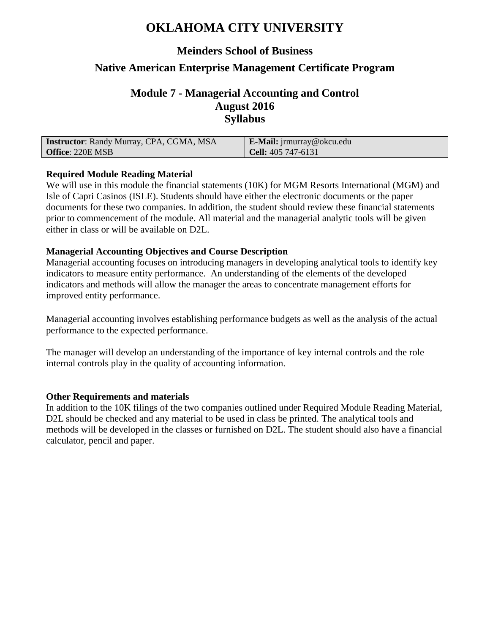# **OKLAHOMA CITY UNIVERSITY**

### **Meinders School of Business**

### **Native American Enterprise Management Certificate Program**

### **Module 7 - Managerial Accounting and Control August 2016 Syllabus**

| <b>Instructor:</b> Randy Murray, CPA, CGMA, MSA | <b>E-Mail:</b> $\lim_{\alpha}$ $\cos \alpha$ okcu.edu |
|-------------------------------------------------|-------------------------------------------------------|
| <b>Office: 220E MSB</b>                         | Cell: $405\,747-6131$                                 |

#### **Required Module Reading Material**

We will use in this module the financial statements (10K) for MGM Resorts International (MGM) and Isle of Capri Casinos (ISLE). Students should have either the electronic documents or the paper documents for these two companies. In addition, the student should review these financial statements prior to commencement of the module. All material and the managerial analytic tools will be given either in class or will be available on D2L.

#### **Managerial Accounting Objectives and Course Description**

Managerial accounting focuses on introducing managers in developing analytical tools to identify key indicators to measure entity performance. An understanding of the elements of the developed indicators and methods will allow the manager the areas to concentrate management efforts for improved entity performance.

Managerial accounting involves establishing performance budgets as well as the analysis of the actual performance to the expected performance.

The manager will develop an understanding of the importance of key internal controls and the role internal controls play in the quality of accounting information.

#### **Other Requirements and materials**

In addition to the 10K filings of the two companies outlined under Required Module Reading Material, D2L should be checked and any material to be used in class be printed. The analytical tools and methods will be developed in the classes or furnished on D2L. The student should also have a financial calculator, pencil and paper.